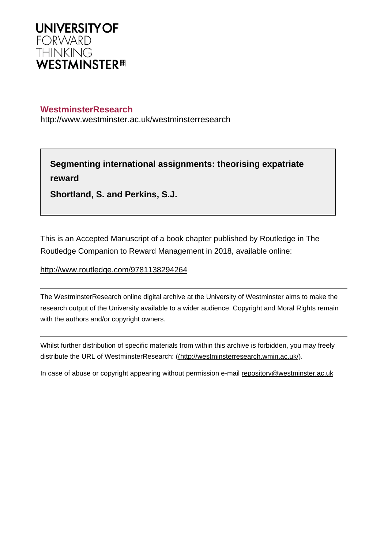

# **WestminsterResearch**

http://www.westminster.ac.uk/westminsterresearch

**Segmenting international assignments: theorising expatriate reward**

**Shortland, S. and Perkins, S.J.**

This is an Accepted Manuscript of a book chapter published by Routledge in The Routledge Companion to Reward Management in 2018, available online:

## <http://www.routledge.com/9781138294264>

The WestminsterResearch online digital archive at the University of Westminster aims to make the research output of the University available to a wider audience. Copyright and Moral Rights remain with the authors and/or copyright owners.

Whilst further distribution of specific materials from within this archive is forbidden, you may freely distribute the URL of WestminsterResearch: [\(\(http://westminsterresearch.wmin.ac.uk/](http://westminsterresearch.wmin.ac.uk/)).

In case of abuse or copyright appearing without permission e-mail <repository@westminster.ac.uk>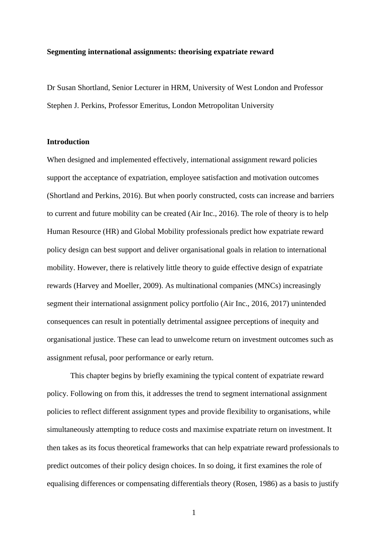#### **Segmenting international assignments: theorising expatriate reward**

Dr Susan Shortland, Senior Lecturer in HRM, University of West London and Professor Stephen J. Perkins, Professor Emeritus, London Metropolitan University

### **Introduction**

When designed and implemented effectively, international assignment reward policies support the acceptance of expatriation, employee satisfaction and motivation outcomes (Shortland and Perkins, 2016). But when poorly constructed, costs can increase and barriers to current and future mobility can be created (Air Inc., 2016). The role of theory is to help Human Resource (HR) and Global Mobility professionals predict how expatriate reward policy design can best support and deliver organisational goals in relation to international mobility. However, there is relatively little theory to guide effective design of expatriate rewards (Harvey and Moeller, 2009). As multinational companies (MNCs) increasingly segment their international assignment policy portfolio (Air Inc., 2016, 2017) unintended consequences can result in potentially detrimental assignee perceptions of inequity and organisational justice. These can lead to unwelcome return on investment outcomes such as assignment refusal, poor performance or early return.

This chapter begins by briefly examining the typical content of expatriate reward policy. Following on from this, it addresses the trend to segment international assignment policies to reflect different assignment types and provide flexibility to organisations, while simultaneously attempting to reduce costs and maximise expatriate return on investment. It then takes as its focus theoretical frameworks that can help expatriate reward professionals to predict outcomes of their policy design choices. In so doing, it first examines the role of equalising differences or compensating differentials theory (Rosen, 1986) as a basis to justify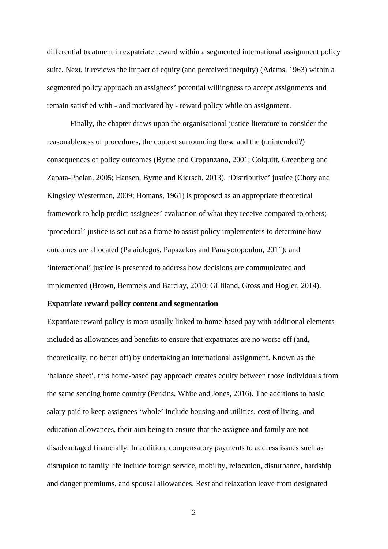differential treatment in expatriate reward within a segmented international assignment policy suite. Next, it reviews the impact of equity (and perceived inequity) (Adams, 1963) within a segmented policy approach on assignees' potential willingness to accept assignments and remain satisfied with - and motivated by - reward policy while on assignment.

Finally, the chapter draws upon the organisational justice literature to consider the reasonableness of procedures, the context surrounding these and the (unintended?) consequences of policy outcomes (Byrne and Cropanzano, 2001; Colquitt, Greenberg and Zapata-Phelan, 2005; Hansen, Byrne and Kiersch, 2013). 'Distributive' justice (Chory and Kingsley Westerman, 2009; Homans, 1961) is proposed as an appropriate theoretical framework to help predict assignees' evaluation of what they receive compared to others; 'procedural' justice is set out as a frame to assist policy implementers to determine how outcomes are allocated (Palaiologos, Papazekos and Panayotopoulou, 2011); and 'interactional' justice is presented to address how decisions are communicated and implemented (Brown, Bemmels and Barclay, 2010; Gilliland, Gross and Hogler, 2014).

#### **Expatriate reward policy content and segmentation**

Expatriate reward policy is most usually linked to home-based pay with additional elements included as allowances and benefits to ensure that expatriates are no worse off (and, theoretically, no better off) by undertaking an international assignment. Known as the 'balance sheet', this home-based pay approach creates equity between those individuals from the same sending home country (Perkins, White and Jones, 2016). The additions to basic salary paid to keep assignees 'whole' include housing and utilities, cost of living, and education allowances, their aim being to ensure that the assignee and family are not disadvantaged financially. In addition, compensatory payments to address issues such as disruption to family life include foreign service, mobility, relocation, disturbance, hardship and danger premiums, and spousal allowances. Rest and relaxation leave from designated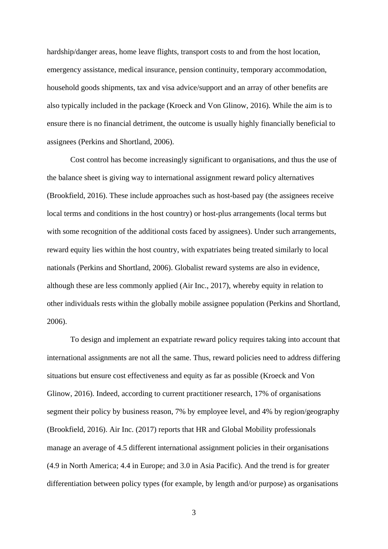hardship/danger areas, home leave flights, transport costs to and from the host location, emergency assistance, medical insurance, pension continuity, temporary accommodation, household goods shipments, tax and visa advice/support and an array of other benefits are also typically included in the package (Kroeck and Von Glinow, 2016). While the aim is to ensure there is no financial detriment, the outcome is usually highly financially beneficial to assignees (Perkins and Shortland, 2006).

Cost control has become increasingly significant to organisations, and thus the use of the balance sheet is giving way to international assignment reward policy alternatives (Brookfield, 2016). These include approaches such as host-based pay (the assignees receive local terms and conditions in the host country) or host-plus arrangements (local terms but with some recognition of the additional costs faced by assignees). Under such arrangements, reward equity lies within the host country, with expatriates being treated similarly to local nationals (Perkins and Shortland, 2006). Globalist reward systems are also in evidence, although these are less commonly applied (Air Inc., 2017), whereby equity in relation to other individuals rests within the globally mobile assignee population (Perkins and Shortland, 2006).

To design and implement an expatriate reward policy requires taking into account that international assignments are not all the same. Thus, reward policies need to address differing situations but ensure cost effectiveness and equity as far as possible (Kroeck and Von Glinow, 2016). Indeed, according to current practitioner research, 17% of organisations segment their policy by business reason, 7% by employee level, and 4% by region/geography (Brookfield, 2016). Air Inc. (2017) reports that HR and Global Mobility professionals manage an average of 4.5 different international assignment policies in their organisations (4.9 in North America; 4.4 in Europe; and 3.0 in Asia Pacific). And the trend is for greater differentiation between policy types (for example, by length and/or purpose) as organisations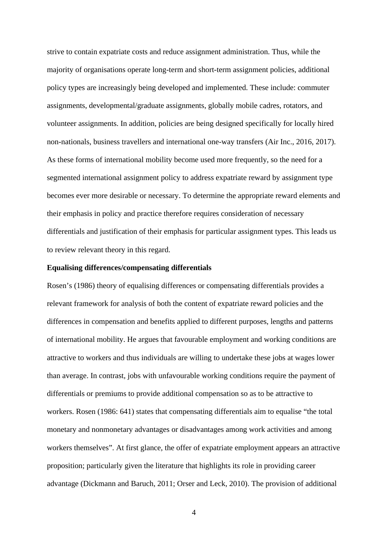strive to contain expatriate costs and reduce assignment administration. Thus, while the majority of organisations operate long-term and short-term assignment policies, additional policy types are increasingly being developed and implemented. These include: commuter assignments, developmental/graduate assignments, globally mobile cadres, rotators, and volunteer assignments. In addition, policies are being designed specifically for locally hired non-nationals, business travellers and international one-way transfers (Air Inc., 2016, 2017). As these forms of international mobility become used more frequently, so the need for a segmented international assignment policy to address expatriate reward by assignment type becomes ever more desirable or necessary. To determine the appropriate reward elements and their emphasis in policy and practice therefore requires consideration of necessary differentials and justification of their emphasis for particular assignment types. This leads us to review relevant theory in this regard.

### **Equalising differences/compensating differentials**

Rosen's (1986) theory of equalising differences or compensating differentials provides a relevant framework for analysis of both the content of expatriate reward policies and the differences in compensation and benefits applied to different purposes, lengths and patterns of international mobility. He argues that favourable employment and working conditions are attractive to workers and thus individuals are willing to undertake these jobs at wages lower than average. In contrast, jobs with unfavourable working conditions require the payment of differentials or premiums to provide additional compensation so as to be attractive to workers. Rosen (1986: 641) states that compensating differentials aim to equalise "the total monetary and nonmonetary advantages or disadvantages among work activities and among workers themselves". At first glance, the offer of expatriate employment appears an attractive proposition; particularly given the literature that highlights its role in providing career advantage (Dickmann and Baruch, 2011; Orser and Leck, 2010). The provision of additional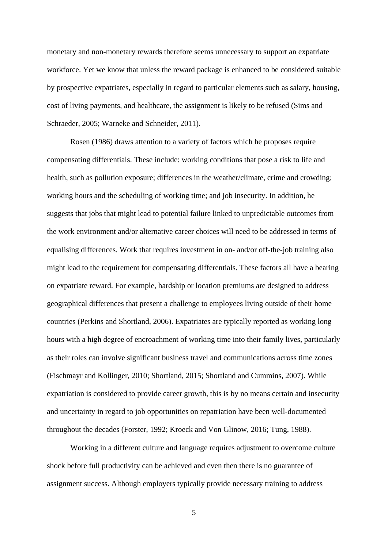monetary and non-monetary rewards therefore seems unnecessary to support an expatriate workforce. Yet we know that unless the reward package is enhanced to be considered suitable by prospective expatriates, especially in regard to particular elements such as salary, housing, cost of living payments, and healthcare, the assignment is likely to be refused (Sims and Schraeder, 2005; Warneke and Schneider, 2011).

Rosen (1986) draws attention to a variety of factors which he proposes require compensating differentials. These include: working conditions that pose a risk to life and health, such as pollution exposure; differences in the weather/climate, crime and crowding; working hours and the scheduling of working time; and job insecurity. In addition, he suggests that jobs that might lead to potential failure linked to unpredictable outcomes from the work environment and/or alternative career choices will need to be addressed in terms of equalising differences. Work that requires investment in on- and/or off-the-job training also might lead to the requirement for compensating differentials. These factors all have a bearing on expatriate reward. For example, hardship or location premiums are designed to address geographical differences that present a challenge to employees living outside of their home countries (Perkins and Shortland, 2006). Expatriates are typically reported as working long hours with a high degree of encroachment of working time into their family lives, particularly as their roles can involve significant business travel and communications across time zones (Fischmayr and Kollinger, 2010; Shortland, 2015; Shortland and Cummins, 2007). While expatriation is considered to provide career growth, this is by no means certain and insecurity and uncertainty in regard to job opportunities on repatriation have been well-documented throughout the decades (Forster, 1992; Kroeck and Von Glinow, 2016; Tung, 1988).

Working in a different culture and language requires adjustment to overcome culture shock before full productivity can be achieved and even then there is no guarantee of assignment success. Although employers typically provide necessary training to address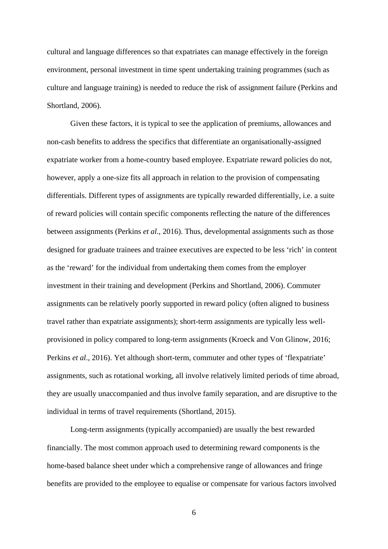cultural and language differences so that expatriates can manage effectively in the foreign environment, personal investment in time spent undertaking training programmes (such as culture and language training) is needed to reduce the risk of assignment failure (Perkins and Shortland, 2006).

Given these factors, it is typical to see the application of premiums, allowances and non-cash benefits to address the specifics that differentiate an organisationally-assigned expatriate worker from a home-country based employee. Expatriate reward policies do not, however, apply a one-size fits all approach in relation to the provision of compensating differentials. Different types of assignments are typically rewarded differentially, i.e. a suite of reward policies will contain specific components reflecting the nature of the differences between assignments (Perkins *et al*., 2016). Thus, developmental assignments such as those designed for graduate trainees and trainee executives are expected to be less 'rich' in content as the 'reward' for the individual from undertaking them comes from the employer investment in their training and development (Perkins and Shortland, 2006). Commuter assignments can be relatively poorly supported in reward policy (often aligned to business travel rather than expatriate assignments); short-term assignments are typically less wellprovisioned in policy compared to long-term assignments (Kroeck and Von Glinow, 2016; Perkins *et al*., 2016). Yet although short-term, commuter and other types of 'flexpatriate' assignments, such as rotational working, all involve relatively limited periods of time abroad, they are usually unaccompanied and thus involve family separation, and are disruptive to the individual in terms of travel requirements (Shortland, 2015).

Long-term assignments (typically accompanied) are usually the best rewarded financially. The most common approach used to determining reward components is the home-based balance sheet under which a comprehensive range of allowances and fringe benefits are provided to the employee to equalise or compensate for various factors involved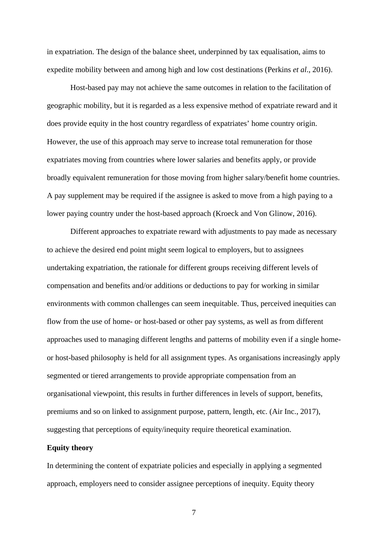in expatriation. The design of the balance sheet, underpinned by tax equalisation, aims to expedite mobility between and among high and low cost destinations (Perkins *et al*., 2016).

Host-based pay may not achieve the same outcomes in relation to the facilitation of geographic mobility, but it is regarded as a less expensive method of expatriate reward and it does provide equity in the host country regardless of expatriates' home country origin. However, the use of this approach may serve to increase total remuneration for those expatriates moving from countries where lower salaries and benefits apply, or provide broadly equivalent remuneration for those moving from higher salary/benefit home countries. A pay supplement may be required if the assignee is asked to move from a high paying to a lower paying country under the host-based approach (Kroeck and Von Glinow, 2016).

Different approaches to expatriate reward with adjustments to pay made as necessary to achieve the desired end point might seem logical to employers, but to assignees undertaking expatriation, the rationale for different groups receiving different levels of compensation and benefits and/or additions or deductions to pay for working in similar environments with common challenges can seem inequitable. Thus, perceived inequities can flow from the use of home- or host-based or other pay systems, as well as from different approaches used to managing different lengths and patterns of mobility even if a single homeor host-based philosophy is held for all assignment types. As organisations increasingly apply segmented or tiered arrangements to provide appropriate compensation from an organisational viewpoint, this results in further differences in levels of support, benefits, premiums and so on linked to assignment purpose, pattern, length, etc. (Air Inc., 2017), suggesting that perceptions of equity/inequity require theoretical examination.

## **Equity theory**

In determining the content of expatriate policies and especially in applying a segmented approach, employers need to consider assignee perceptions of inequity. Equity theory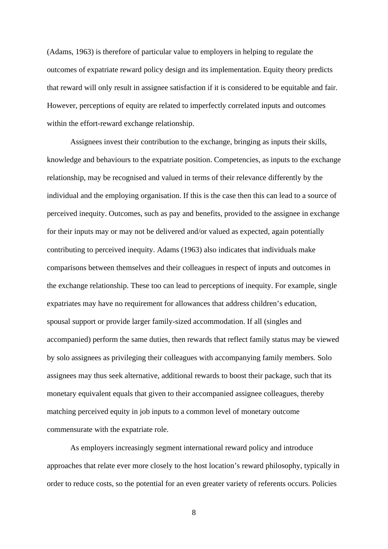(Adams, 1963) is therefore of particular value to employers in helping to regulate the outcomes of expatriate reward policy design and its implementation. Equity theory predicts that reward will only result in assignee satisfaction if it is considered to be equitable and fair. However, perceptions of equity are related to imperfectly correlated inputs and outcomes within the effort-reward exchange relationship.

Assignees invest their contribution to the exchange, bringing as inputs their skills, knowledge and behaviours to the expatriate position. Competencies, as inputs to the exchange relationship, may be recognised and valued in terms of their relevance differently by the individual and the employing organisation. If this is the case then this can lead to a source of perceived inequity. Outcomes, such as pay and benefits, provided to the assignee in exchange for their inputs may or may not be delivered and/or valued as expected, again potentially contributing to perceived inequity. Adams (1963) also indicates that individuals make comparisons between themselves and their colleagues in respect of inputs and outcomes in the exchange relationship. These too can lead to perceptions of inequity. For example, single expatriates may have no requirement for allowances that address children's education, spousal support or provide larger family-sized accommodation. If all (singles and accompanied) perform the same duties, then rewards that reflect family status may be viewed by solo assignees as privileging their colleagues with accompanying family members. Solo assignees may thus seek alternative, additional rewards to boost their package, such that its monetary equivalent equals that given to their accompanied assignee colleagues, thereby matching perceived equity in job inputs to a common level of monetary outcome commensurate with the expatriate role.

As employers increasingly segment international reward policy and introduce approaches that relate ever more closely to the host location's reward philosophy, typically in order to reduce costs, so the potential for an even greater variety of referents occurs. Policies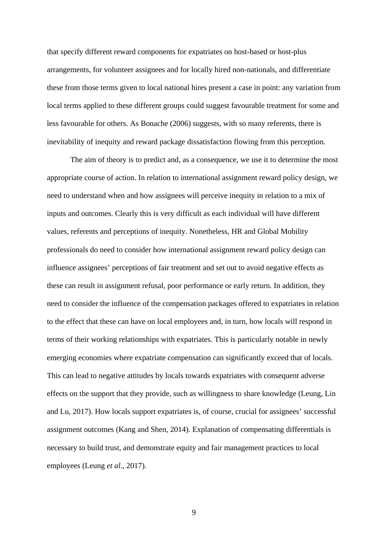that specify different reward components for expatriates on host-based or host-plus arrangements, for volunteer assignees and for locally hired non-nationals, and differentiate these from those terms given to local national hires present a case in point: any variation from local terms applied to these different groups could suggest favourable treatment for some and less favourable for others. As Bonache (2006) suggests, with so many referents, there is inevitability of inequity and reward package dissatisfaction flowing from this perception.

The aim of theory is to predict and, as a consequence, we use it to determine the most appropriate course of action. In relation to international assignment reward policy design, we need to understand when and how assignees will perceive inequity in relation to a mix of inputs and outcomes. Clearly this is very difficult as each individual will have different values, referents and perceptions of inequity. Nonetheless, HR and Global Mobility professionals do need to consider how international assignment reward policy design can influence assignees' perceptions of fair treatment and set out to avoid negative effects as these can result in assignment refusal, poor performance or early return. In addition, they need to consider the influence of the compensation packages offered to expatriates in relation to the effect that these can have on local employees and, in turn, how locals will respond in terms of their working relationships with expatriates. This is particularly notable in newly emerging economies where expatriate compensation can significantly exceed that of locals. This can lead to negative attitudes by locals towards expatriates with consequent adverse effects on the support that they provide, such as willingness to share knowledge (Leung, Lin and Lu, 2017). How locals support expatriates is, of course, crucial for assignees' successful assignment outcomes (Kang and Shen, 2014). Explanation of compensating differentials is necessary to build trust, and demonstrate equity and fair management practices to local employees (Leung *et al*., 2017).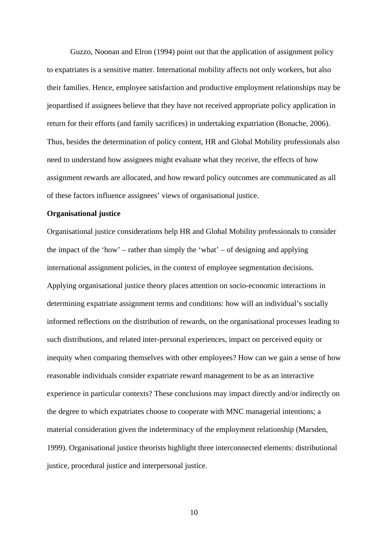Guzzo, Noonan and Elron (1994) point out that the application of assignment policy to expatriates is a sensitive matter. International mobility affects not only workers, but also their families. Hence, employee satisfaction and productive employment relationships may be jeopardised if assignees believe that they have not received appropriate policy application in return for their efforts (and family sacrifices) in undertaking expatriation (Bonache, 2006). Thus, besides the determination of policy content, HR and Global Mobility professionals also need to understand how assignees might evaluate what they receive, the effects of how assignment rewards are allocated, and how reward policy outcomes are communicated as all of these factors influence assignees' views of organisational justice.

#### **Organisational justice**

Organisational justice considerations help HR and Global Mobility professionals to consider the impact of the 'how' – rather than simply the 'what' – of designing and applying international assignment policies, in the context of employee segmentation decisions. Applying organisational justice theory places attention on socio-economic interactions in determining expatriate assignment terms and conditions: how will an individual's socially informed reflections on the distribution of rewards, on the organisational processes leading to such distributions, and related inter-personal experiences, impact on perceived equity or inequity when comparing themselves with other employees? How can we gain a sense of how reasonable individuals consider expatriate reward management to be as an interactive experience in particular contexts? These conclusions may impact directly and/or indirectly on the degree to which expatriates choose to cooperate with MNC managerial intentions; a material consideration given the indeterminacy of the employment relationship (Marsden, 1999). Organisational justice theorists highlight three interconnected elements: distributional justice, procedural justice and interpersonal justice.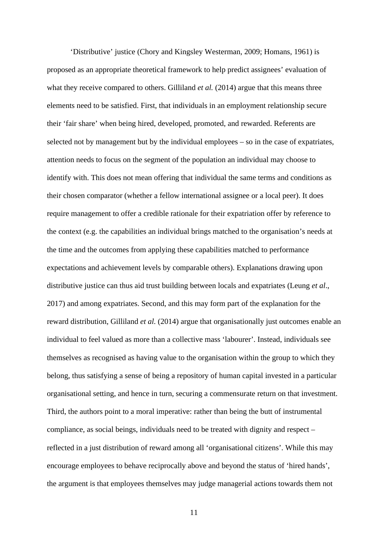'Distributive' justice (Chory and Kingsley Westerman, 2009; Homans, 1961) is proposed as an appropriate theoretical framework to help predict assignees' evaluation of what they receive compared to others. Gilliland *et al.* (2014) argue that this means three elements need to be satisfied. First, that individuals in an employment relationship secure their 'fair share' when being hired, developed, promoted, and rewarded. Referents are selected not by management but by the individual employees – so in the case of expatriates, attention needs to focus on the segment of the population an individual may choose to identify with. This does not mean offering that individual the same terms and conditions as their chosen comparator (whether a fellow international assignee or a local peer). It does require management to offer a credible rationale for their expatriation offer by reference to the context (e.g. the capabilities an individual brings matched to the organisation's needs at the time and the outcomes from applying these capabilities matched to performance expectations and achievement levels by comparable others). Explanations drawing upon distributive justice can thus aid trust building between locals and expatriates (Leung *et al*., 2017) and among expatriates. Second, and this may form part of the explanation for the reward distribution, Gilliland *et al.* (2014) argue that organisationally just outcomes enable an individual to feel valued as more than a collective mass 'labourer'. Instead, individuals see themselves as recognised as having value to the organisation within the group to which they belong, thus satisfying a sense of being a repository of human capital invested in a particular organisational setting, and hence in turn, securing a commensurate return on that investment. Third, the authors point to a moral imperative: rather than being the butt of instrumental compliance, as social beings, individuals need to be treated with dignity and respect – reflected in a just distribution of reward among all 'organisational citizens'. While this may encourage employees to behave reciprocally above and beyond the status of 'hired hands', the argument is that employees themselves may judge managerial actions towards them not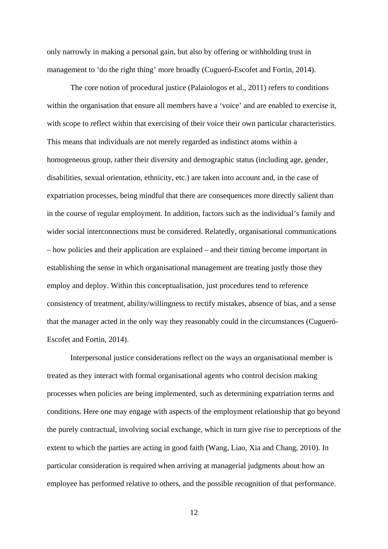only narrowly in making a personal gain, but also by offering or withholding trust in management to 'do the right thing' more broadly (Cugueró-Escofet and Fortin, 2014).

The core notion of procedural justice (Palaiologos et al., 2011) refers to conditions within the organisation that ensure all members have a 'voice' and are enabled to exercise it, with scope to reflect within that exercising of their voice their own particular characteristics. This means that individuals are not merely regarded as indistinct atoms within a homogeneous group, rather their diversity and demographic status (including age, gender, disabilities, sexual orientation, ethnicity, etc.) are taken into account and, in the case of expatriation processes, being mindful that there are consequences more directly salient than in the course of regular employment. In addition, factors such as the individual's family and wider social interconnections must be considered. Relatedly, organisational communications – how policies and their application are explained – and their timing become important in establishing the sense in which organisational management are treating justly those they employ and deploy. Within this conceptualisation, just procedures tend to reference consistency of treatment, ability/willingness to rectify mistakes, absence of bias, and a sense that the manager acted in the only way they reasonably could in the circumstances (Cugueró-Escofet and Fortin, 2014).

Interpersonal justice considerations reflect on the ways an organisational member is treated as they interact with formal organisational agents who control decision making processes when policies are being implemented, such as determining expatriation terms and conditions. Here one may engage with aspects of the employment relationship that go beyond the purely contractual, involving social exchange, which in turn give rise to perceptions of the extent to which the parties are acting in good faith (Wang, Liao, Xia and Chang, 2010). In particular consideration is required when arriving at managerial judgments about how an employee has performed relative to others, and the possible recognition of that performance.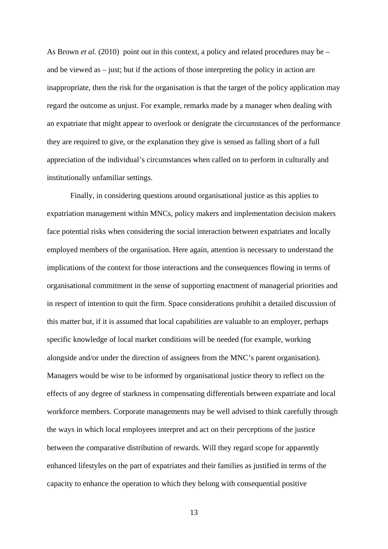As Brown *et al.* (2010) point out in this context, a policy and related procedures may be – and be viewed as – just; but if the actions of those interpreting the policy in action are inappropriate, then the risk for the organisation is that the target of the policy application may regard the outcome as unjust. For example, remarks made by a manager when dealing with an expatriate that might appear to overlook or denigrate the circumstances of the performance they are required to give, or the explanation they give is sensed as falling short of a full appreciation of the individual's circumstances when called on to perform in culturally and institutionally unfamiliar settings.

Finally, in considering questions around organisational justice as this applies to expatriation management within MNCs, policy makers and implementation decision makers face potential risks when considering the social interaction between expatriates and locally employed members of the organisation. Here again, attention is necessary to understand the implications of the context for those interactions and the consequences flowing in terms of organisational commitment in the sense of supporting enactment of managerial priorities and in respect of intention to quit the firm. Space considerations prohibit a detailed discussion of this matter but, if it is assumed that local capabilities are valuable to an employer, perhaps specific knowledge of local market conditions will be needed (for example, working alongside and/or under the direction of assignees from the MNC's parent organisation). Managers would be wise to be informed by organisational justice theory to reflect on the effects of any degree of starkness in compensating differentials between expatriate and local workforce members. Corporate managements may be well advised to think carefully through the ways in which local employees interpret and act on their perceptions of the justice between the comparative distribution of rewards. Will they regard scope for apparently enhanced lifestyles on the part of expatriates and their families as justified in terms of the capacity to enhance the operation to which they belong with consequential positive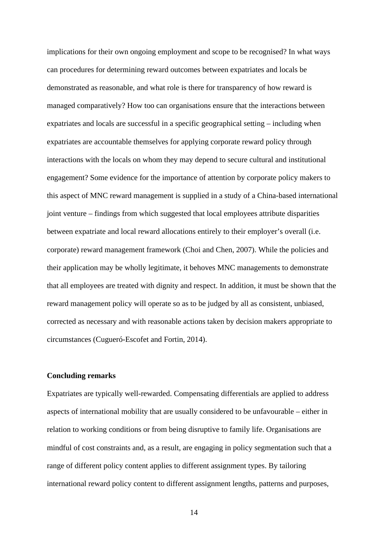implications for their own ongoing employment and scope to be recognised? In what ways can procedures for determining reward outcomes between expatriates and locals be demonstrated as reasonable, and what role is there for transparency of how reward is managed comparatively? How too can organisations ensure that the interactions between expatriates and locals are successful in a specific geographical setting – including when expatriates are accountable themselves for applying corporate reward policy through interactions with the locals on whom they may depend to secure cultural and institutional engagement? Some evidence for the importance of attention by corporate policy makers to this aspect of MNC reward management is supplied in a study of a China-based international joint venture – findings from which suggested that local employees attribute disparities between expatriate and local reward allocations entirely to their employer's overall (i.e. corporate) reward management framework (Choi and Chen, 2007). While the policies and their application may be wholly legitimate, it behoves MNC managements to demonstrate that all employees are treated with dignity and respect. In addition, it must be shown that the reward management policy will operate so as to be judged by all as consistent, unbiased, corrected as necessary and with reasonable actions taken by decision makers appropriate to circumstances (Cugueró-Escofet and Fortin, 2014).

## **Concluding remarks**

Expatriates are typically well-rewarded. Compensating differentials are applied to address aspects of international mobility that are usually considered to be unfavourable – either in relation to working conditions or from being disruptive to family life. Organisations are mindful of cost constraints and, as a result, are engaging in policy segmentation such that a range of different policy content applies to different assignment types. By tailoring international reward policy content to different assignment lengths, patterns and purposes,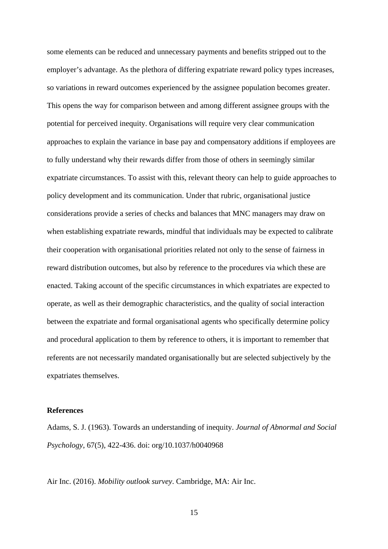some elements can be reduced and unnecessary payments and benefits stripped out to the employer's advantage. As the plethora of differing expatriate reward policy types increases, so variations in reward outcomes experienced by the assignee population becomes greater. This opens the way for comparison between and among different assignee groups with the potential for perceived inequity. Organisations will require very clear communication approaches to explain the variance in base pay and compensatory additions if employees are to fully understand why their rewards differ from those of others in seemingly similar expatriate circumstances. To assist with this, relevant theory can help to guide approaches to policy development and its communication. Under that rubric, organisational justice considerations provide a series of checks and balances that MNC managers may draw on when establishing expatriate rewards, mindful that individuals may be expected to calibrate their cooperation with organisational priorities related not only to the sense of fairness in reward distribution outcomes, but also by reference to the procedures via which these are enacted. Taking account of the specific circumstances in which expatriates are expected to operate, as well as their demographic characteristics, and the quality of social interaction between the expatriate and formal organisational agents who specifically determine policy and procedural application to them by reference to others, it is important to remember that referents are not necessarily mandated organisationally but are selected subjectively by the expatriates themselves.

## **References**

Adams, S. J. (1963). Towards an understanding of inequity. *Journal of Abnormal and Social Psychology*, 67(5), 422-436. doi: org/10.1037/h0040968

Air Inc. (2016). *Mobility outlook survey*. Cambridge, MA: Air Inc.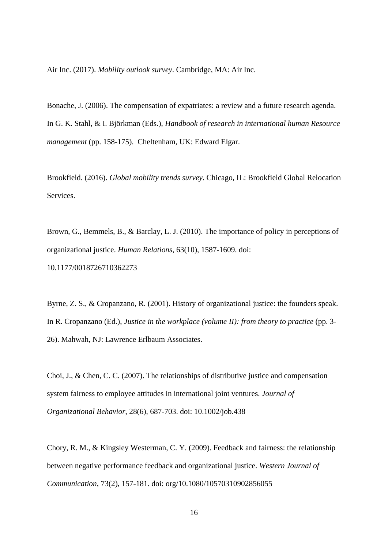Air Inc. (2017). *Mobility outlook survey*. Cambridge, MA: Air Inc.

Bonache, J. (2006). The compensation of expatriates: a review and a future research agenda. In G. K. Stahl, & I. Björkman (Eds.), *Handbook of research in international human Resource management* (pp. 158-175). Cheltenham, UK: Edward Elgar.

Brookfield. (2016). *Global mobility trends survey*. Chicago, IL: Brookfield Global Relocation Services.

Brown, G., Bemmels, B., & Barclay, L. J. (2010). The importance of policy in perceptions of organizational justice. *Human Relations,* 63(10), 1587-1609. doi: 10.1177/0018726710362273

Byrne, Z. S., & Cropanzano, R. (2001). History of organizational justice: the founders speak. In R. Cropanzano (Ed.), *Justice in the workplace (volume II): from theory to practice* (pp. 3- 26). Mahwah, NJ: Lawrence Erlbaum Associates.

Choi, J., & Chen, C. C. (2007). The relationships of distributive justice and compensation system fairness to employee attitudes in international joint ventures. *Journal of Organizational Behavior*, 28(6), 687-703. doi: 10.1002/job.438

Chory, R. M., & Kingsley Westerman, C. Y. (2009). Feedback and fairness: the relationship between negative performance feedback and organizational justice. *Western Journal of Communication*, 73(2), 157-181. doi: org/10.1080/10570310902856055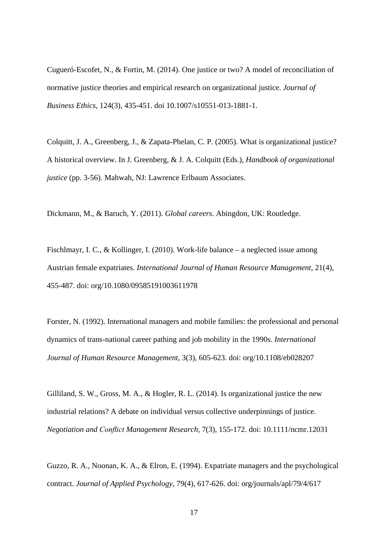Cugueró-Escofet, N., & Fortin, M. (2014). One justice or two? A model of reconciliation of normative justice theories and empirical research on organizational justice. *Journal of Business Ethics*, 124(3), 435-451. doi 10.1007/s10551-013-1881-1.

Colquitt, J. A., Greenberg, J., & Zapata-Phelan, C. P. (2005). What is organizational justice? A historical overview. In J. Greenberg, & J. A. Colquitt (Eds.), *Handbook of organizational justice* (pp. 3-56). Mahwah, NJ: Lawrence Erlbaum Associates.

Dickmann, M., & Baruch, Y. (2011). *Global careers*. Abingdon, UK: Routledge.

Fischlmayr, I. C., & Kollinger, I. (2010). Work-life balance – a neglected issue among Austrian female expatriates. *International Journal of Human Resource Management*, 21(4), 455-487. doi: org/10.1080/09585191003611978

Forster, N. (1992). International managers and mobile families: the professional and personal dynamics of trans-national career pathing and job mobility in the 1990s. *International Journal of Human Resource Management*, 3(3), 605-623. doi: org/10.1108/eb028207

Gilliland, S. W., Gross, M. A., & Hogler, R. L. (2014). Is organizational justice the new industrial relations? A debate on individual versus collective underpinnings of justice. *Negotiation and Conflict Management Research*, 7(3), 155-172. doi: 10.1111/ncmr.12031

Guzzo, R. A., Noonan, K. A., & Elron, E. (1994). Expatriate managers and the psychological contract. *Journal of Applied Psychology*, 79(4), 617-626. doi: org/journals/apl/79/4/617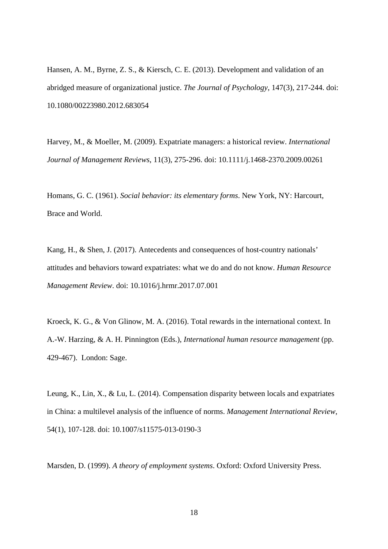Hansen, A. M., Byrne, Z. S., & Kiersch, C. E. (2013). Development and validation of an abridged measure of organizational justice. *The Journal of Psychology*, 147(3), 217-244. doi: [10.1080/00223980.2012.683054](https://dx.doi.org/10.1080/00223980.2012.683054)

Harvey, M., & Moeller, M. (2009). Expatriate managers: a historical review. *International Journal of Management Reviews*, 11(3), 275-296. doi: 10.1111/j.1468-2370.2009.00261

Homans, G. C. (1961). *Social behavior: its elementary forms*. New York, NY: Harcourt, Brace and World.

Kang, H., & Shen, J. (2017). Antecedents and consequences of host-country nationals' attitudes and behaviors toward expatriates: what we do and do not know. *Human Resource Management Review*. doi: 10.1016/j.hrmr.2017.07.001

Kroeck, K. G., & Von Glinow, M. A. (2016). Total rewards in the international context. In A.-W. Harzing, & A. H. Pinnington (Eds.), *International human resource management* (pp. 429-467). London: Sage.

Leung, K., Lin, X., & Lu, L. (2014). Compensation disparity between locals and expatriates in China: a multilevel analysis of the influence of norms. *Management International Review*, 54(1), 107-128. doi: 10.1007/s11575-013-0190-3

Marsden, D. (1999). *A theory of employment systems*. Oxford: Oxford University Press.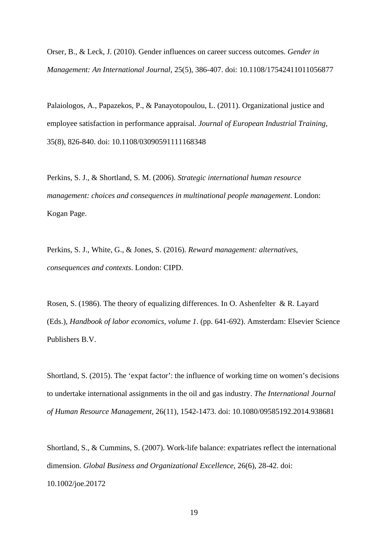Orser, B., & Leck, J. (2010). Gender influences on career success outcomes. *Gender in Management: An International Journal*, 25(5), 386-407. doi: 10.1108/17542411011056877

Palaiologos, A., Papazekos, P., & Panayotopoulou, L. (2011). Organizational justice and employee satisfaction in performance appraisal. *Journal of European Industrial Training*, 35(8), 826-840. doi: 10.1108/03090591111168348

Perkins, S. J., & Shortland, S. M. (2006). *Strategic international human resource management: choices and consequences in multinational people management*. London: Kogan Page.

Perkins, S. J., White, G., & Jones, S. (2016). *Reward management: alternatives, consequences and contexts*. London: CIPD.

Rosen, S. (1986). The theory of equalizing differences. In O. Ashenfelter & R. Layard (Eds.), *Handbook of labor economics, volume 1*. (pp. 641-692). Amsterdam: Elsevier Science Publishers B.V.

Shortland, S. (2015). The 'expat factor': the influence of working time on women's decisions to undertake international assignments in the oil and gas industry. *The International Journal of Human Resource Management*, 26(11), 1542-1473. doi: 10.1080/09585192.2014.938681

Shortland, S., & Cummins, S. (2007). Work-life balance: expatriates reflect the international dimension. *Global Business and Organizational Excellence*, 26(6), 28-42. doi: 10.1002/joe.20172